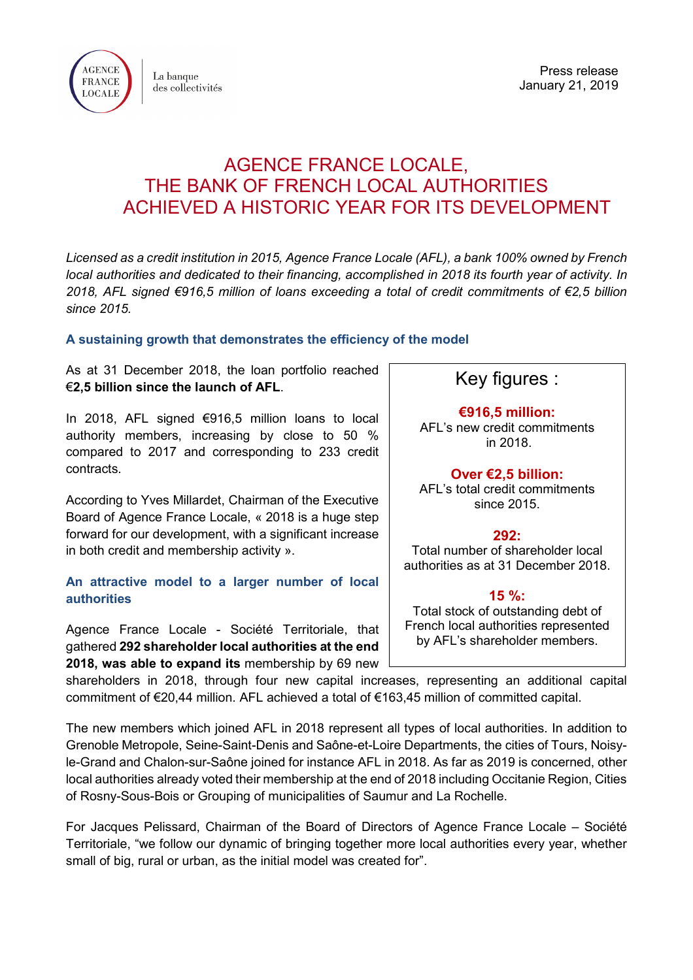

La banque des collectivités

Press release January 21, 2019

## AGENCE FRANCE LOCALE, THE BANK OF FRENCH LOCAL AUTHORITIES ACHIEVED A HISTORIC YEAR FOR ITS DEVELOPMENT

*Licensed as a credit institution in 2015, Agence France Locale (AFL), a bank 100% owned by French local authorities and dedicated to their financing, accomplished in 2018 its fourth year of activity. In 2018, AFL signed €916,5 million of loans exceeding a total of credit commitments of €2,5 billion since 2015.* 

## **A sustaining growth that demonstrates the efficiency of the model**

As at 31 December 2018, the loan portfolio reached €**2,5 billion since the launch of AFL**.

In 2018, AFL signed €916,5 million loans to local authority members, increasing by close to 50 % compared to 2017 and corresponding to 233 credit contracts.

According to Yves Millardet, Chairman of the Executive Board of Agence France Locale, « 2018 is a huge step forward for our development, with a significant increase in both credit and membership activity ».

## **An attractive model to a larger number of local authorities**

Agence France Locale - Société Territoriale, that gathered **292 shareholder local authorities at the end 2018, was able to expand its** membership by 69 new

## Key figures :

**€916,5 million:** AFL's new credit commitments in 2018.

**Over €2,5 billion:**

AFL's total credit commitments since 2015.

**292:**

Total number of shareholder local authorities as at 31 December 2018.

**15 %:** Total stock of outstanding debt of French local authorities represented by AFL's shareholder members.

shareholders in 2018, through four new capital increases, representing an additional capital commitment of €20,44 million. AFL achieved a total of €163,45 million of committed capital.

The new members which joined AFL in 2018 represent all types of local authorities. In addition to Grenoble Metropole, Seine-Saint-Denis and Saône-et-Loire Departments, the cities of Tours, Noisyle-Grand and Chalon-sur-Saône joined for instance AFL in 2018. As far as 2019 is concerned, other local authorities already voted their membership at the end of 2018 including Occitanie Region, Cities of Rosny-Sous-Bois or Grouping of municipalities of Saumur and La Rochelle.

For Jacques Pelissard, Chairman of the Board of Directors of Agence France Locale – Société Territoriale, "we follow our dynamic of bringing together more local authorities every year, whether small of big, rural or urban, as the initial model was created for".